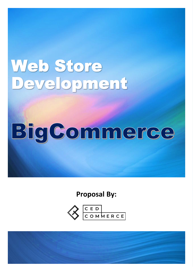# Web Store<br>Development

# BigCommerce

**Proposal By:**



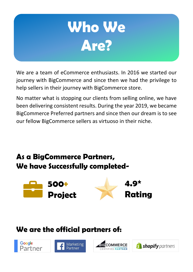

We are a team of eCommerce enthusiasts. In 2016 we started our journey with BigCommerce and since then we had the privilege to help sellers in their journey with BigCommerce store.

No matter what is stopping our clients from selling online, we have been delivering consistent results. During the year 2019, we became BigCommerce Preferred partners and since then our dream is to see our fellow BigCommerce sellers as virtuoso in their niche.

#### **As a BigCommerce Partners, We have Successfully completed-**



#### **We are the official partners of:**





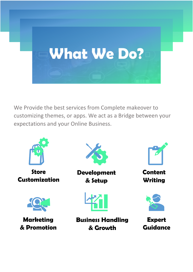

We Provide the best services from Complete makeover to customizing themes, or apps. We act as a Bridge between your expectations and your Online Business.

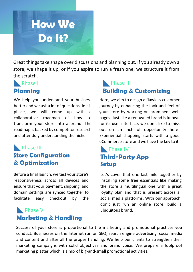

Great things take shape over discussions and planning out. If you already own a store, we shape it up, or if you aspire to run a fresh one, we structure it from the scratch.

#### Phase I **Planning**

We help you understand your business better and we ask a lot of questions. In his phase, we will come up with a collaborative roadmap of how to transform your store into a brand. The roadmap is backed by competitor research and after duly understanding the niche.

#### **Phase III Store Configuration & Optimization**

Before a final launch, we test your store's responsiveness across all devices and ensure that your payment, shipping, and domain settings are synced together to facilitate easy checkout by the

#### customers. **Phase V** ubiquitous brand. **Marketing & Handling**

#### Phase II **Building & Customizing**

Here, we aim to design a flawless customer journey by enhancing the look and feel of your store by working on prominent web pages. Just like a renowned brand is known for its user interface, we don't like to miss out on an inch of opportunity here! Experiential shopping starts with a good eCommerce store and we have the key to it.

#### **Phase IV Third-Party App Setup**

Let's cover that one last mile together by installing some free essentials like making the store a multilingual one with a great loyalty plan and that is present across all social media platforms. With our approach, don't just run an online store, build a

Success of your store is proportional to the marketing and promotional practices you conduct. Businesses on the Internet run on SEO, search engine advertising, social media and content and after all the proper handling. We help our clients to strengthen their marketing campaigns with solid objectives and brand voice. We prepare a foolproof marketing platter which is a mix of big-and-small promotional activities.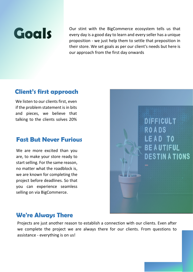

Our stint with the BigCommerce ecosystem tells us that<br>every day is a good day to learn and every seller has a unique<br>proposition - we just help them to settle that preposition in every day is a good day to learn and every seller has a unique proposition - we just help them to settle that preposition in their store. We set goals as per our client's needs but here is our approach from the first day onwards

#### **Client's first approach**

We listen to our clients first, even if the problem statement is in bits and pieces, we believe that talking to the clients solves 20%

#### **Fast But Never Furious**

We are more excited than you are, to make your store ready to start selling. For the same reason, no matter what the roadblock is, we are known for completing the project before deadlines. So that you can experience seamless selling on via BigCommerce.



#### **We're Always There**

Projects are just another reason to establish a connection with our clients. Even after we complete the project we are always there for our clients. From questions to assistance - everything is on us!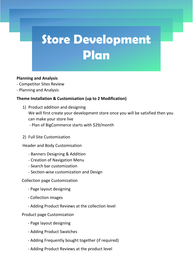### **Store Development Plan**

#### **Planning and Analysis**

- Competitor Sites Review
- Planning and Analysis

#### **Theme Installation & Customisation (up to 2 Modification)**

- 1) Product addition and designing We will first create your development store once you will be satisfied then you can make your store live - Plan of BigCommerce starts with \$29/month
- 2) Full Site Customisation

Header and Body Customisation

- Banners Designing & Addition
- Creation of Navigation Menu
- Search bar customization
- Section-wise customization and Design

Collection page Customization

- Page layout designing
- Collection images
- Adding Product Reviews at the collection level

Product page Customization

- Page layout designing
- Adding Product Swatches
- Adding Frequently bought together (if required)
- Adding Product Reviews at the product level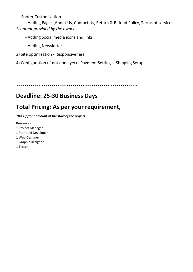Footer Customization

 - Adding Pages (About Us, Contact Us, Return & Refund Policy, Terms of service) *\*content provided by the owner*

- Adding Social media icons and links

- Adding Newsletter

3) Site optimisation - Responsiveness

4) Configuration (if not done yet) - Payment Settings - Shipping Setup

………………………………………………….

#### **Deadline: 25-30 Business Days**

#### **Total Pricing: As per your requirement,**

*70% Upfront amount at the start of the project* 

Resources: 1 Project Manager 1 Frontend Developer 1 Web Designer 1 Graphic Designer 1 Tester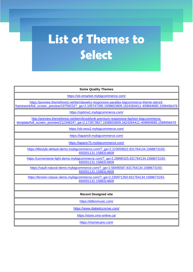## **List of Themes to Select**

| <b>Some Quality Themes</b>                                                                                                                                                                       |
|--------------------------------------------------------------------------------------------------------------------------------------------------------------------------------------------------|
| https://sb-emarket.mybigcommerce.com/                                                                                                                                                            |
| https://preview.themeforest.net/item/jewelry-responsive-parallax-bigcommerce-theme-stencil-<br>framework/full_screen_preview/19758232?_ga=2.105747395.1938653909.1624264411-409694685.1599456476 |
| https://optima1.mybigcommerce.com/                                                                                                                                                               |
| http://preview.themeforest.net/item/brooklynk-premium-responsive-fashion-bigccommerce-<br>template/full_screen_preview/21234824?_ga=2.172873827.1938653909.1624264411-409694685.1599456476       |
| https://sb-revo2.mybigcommerce.com/                                                                                                                                                              |
| https://laparis9.mybigcommerce.com/                                                                                                                                                              |
| https://laparis75.mybigcommerce.com/                                                                                                                                                             |
| https://lifestyle-default-demo.mybigcommerce.com/?_ga=2.223059922.831764134.1588673193-<br>692001131.1588314609                                                                                  |
| https://cornerstone-light-demo.mybigcommerce.com/?_ga=2.28990325.831764134.1588673193-<br>692001131.1588314609                                                                                   |
| https://vault-natural-demo.mybigcommerce.com/?_ga=2.58495587.831764134.1588673193-<br>692001131.1588314609                                                                                       |
| https://brixton-classic-demo.mybigcommerce.com/?_ga=2.230971350.831764134.1588673193-<br>692001131.1588314609                                                                                    |
|                                                                                                                                                                                                  |
| <b>Recent Designed site</b>                                                                                                                                                                      |
| https://dillonmusic.com/                                                                                                                                                                         |
| https://www.diabeticcorner.com/                                                                                                                                                                  |
| https://store.cmo-online.ca/                                                                                                                                                                     |
| https://mymecano.com/                                                                                                                                                                            |